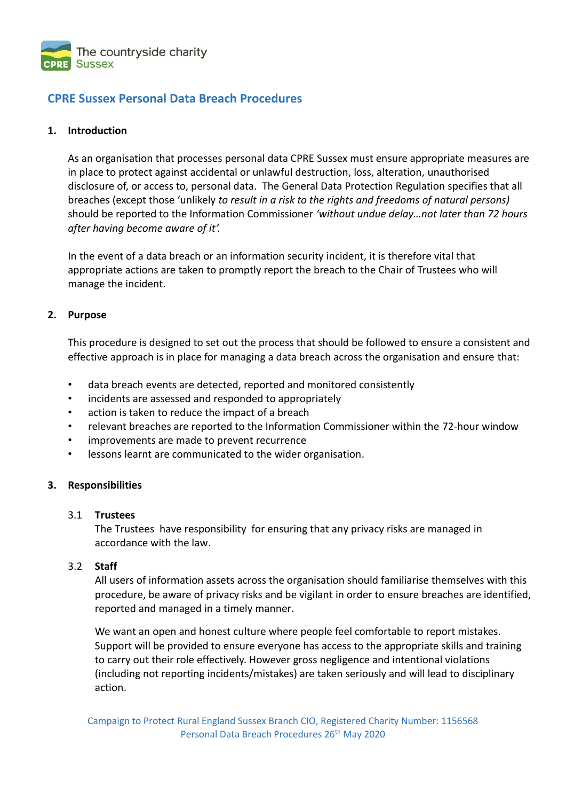

# **CPRE Sussex Personal Data Breach Procedures**

## **1. Introduction**

As an organisation that processes personal data CPRE Sussex must ensure appropriate measures are in place to protect against accidental or unlawful destruction, loss, alteration, unauthorised disclosure of, or access to, personal data. The General Data Protection Regulation specifies that all breaches (except those 'unlikely *to result in a risk to the rights and freedoms of natural persons)*  should be reported to the Information Commissioner *'without undue delay…not later than 72 hours after having become aware of it'.*

In the event of a data breach or an information security incident, it is therefore vital that appropriate actions are taken to promptly report the breach to the Chair of Trustees who will manage the incident.

## **2. Purpose**

This procedure is designed to set out the process that should be followed to ensure a consistent and effective approach is in place for managing a data breach across the organisation and ensure that:

- data breach events are detected, reported and monitored consistently
- incidents are assessed and responded to appropriately
- action is taken to reduce the impact of a breach
- relevant breaches are reported to the Information Commissioner within the 72-hour window
- improvements are made to prevent recurrence
- lessons learnt are communicated to the wider organisation.

## **3. Responsibilities**

## 3.1 **Trustees**

The Trustees have responsibility for ensuring that any privacy risks are managed in accordance with the law.

## 3.2 **Staff**

All users of information assets across the organisation should familiarise themselves with this procedure, be aware of privacy risks and be vigilant in order to ensure breaches are identified, reported and managed in a timely manner.

We want an open and honest culture where people feel comfortable to report mistakes. Support will be provided to ensure everyone has access to the appropriate skills and training to carry out their role effectively. However gross negligence and intentional violations (including not reporting incidents/mistakes) are taken seriously and will lead to disciplinary action.

Campaign to Protect Rural England Sussex Branch CIO, Registered Charity Number: 1156568 Personal Data Breach Procedures 26<sup>th</sup> May 2020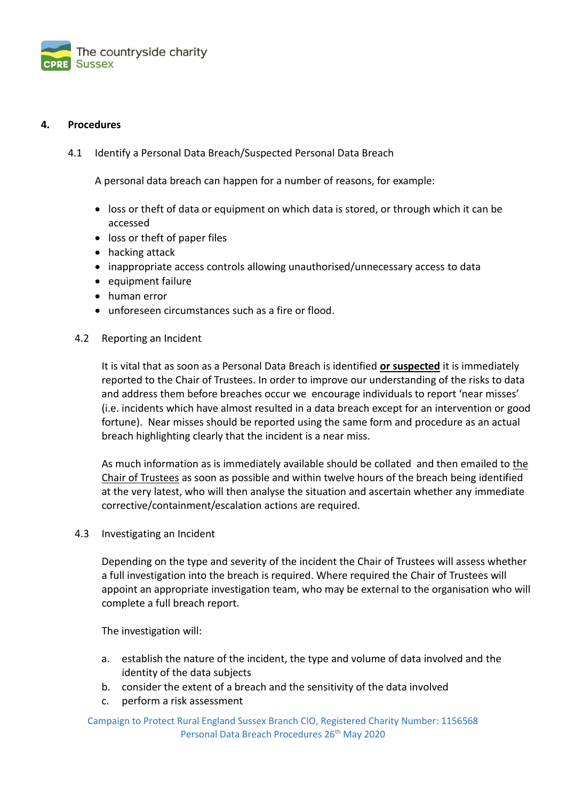

## **4. Procedures**

4.1 Identify a Personal Data Breach/Suspected Personal Data Breach

A personal data breach can happen for a number of reasons, for example:

- loss or theft of data or equipment on which data is stored, or through which it can be accessed
- loss or theft of paper files
- hacking attack
- inappropriate access controls allowing unauthorised/unnecessary access to data
- equipment failure
- human error
- unforeseen circumstances such as a fire or flood.

## 4.2 Reporting an Incident

It is vital that as soon as a Personal Data Breach is identified **or suspected** it is immediately reported to the Chair of Trustees. In order to improve our understanding of the risks to data and address them before breaches occur we encourage individuals to report 'near misses' (i.e. incidents which have almost resulted in a data breach except for an intervention or good fortune). Near misses should be reported using the same form and procedure as an actual breach highlighting clearly that the incident is a near miss.

As much information as is immediately available should be collated and then emailed to [the](mailto:data_protection@rnli.org.uk) Chair of Trustees as soon as possible and within twelve hours of the breach being identified at the very latest, who will then analyse the situation and ascertain whether any immediate corrective/containment/escalation actions are required.

4.3 Investigating an Incident

Depending on the type and severity of the incident the Chair of Trustees will assess whether a full investigation into the breach is required. Where required the Chair of Trustees will appoint an appropriate investigation team, who may be external to the organisation who will complete a full breach report.

The investigation will:

- a. establish the nature of the incident, the type and volume of data involved and the identity of the data subjects
- b. consider the extent of a breach and the sensitivity of the data involved
- c. perform a risk assessment

Campaign to Protect Rural England Sussex Branch CIO, Registered Charity Number: 1156568 Personal Data Breach Procedures 26<sup>th</sup> May 2020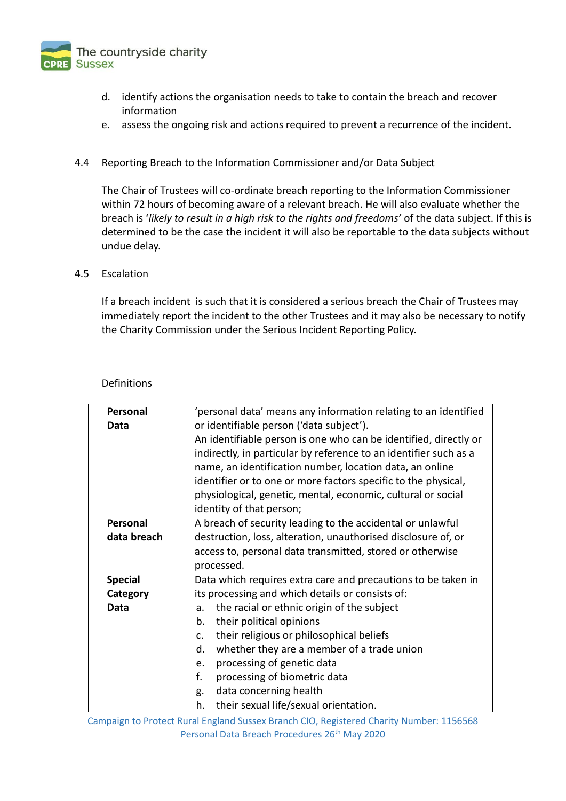

- d. identify actions the organisation needs to take to contain the breach and recover information
- e. assess the ongoing risk and actions required to prevent a recurrence of the incident.

## 4.4 Reporting Breach to the Information Commissioner and/or Data Subject

The Chair of Trustees will co-ordinate breach reporting to the Information Commissioner within 72 hours of becoming aware of a relevant breach. He will also evaluate whether the breach is '*likely to result in a high risk to the rights and freedoms'* of the data subject. If this is determined to be the case the incident it will also be reportable to the data subjects without undue delay.

## 4.5 Escalation

If a breach incident is such that it is considered a serious breach the Chair of Trustees may immediately report the incident to the other Trustees and it may also be necessary to notify the Charity Commission under the Serious Incident Reporting Policy.

| <b>Definitions</b> |
|--------------------|
|                    |

| Personal       | 'personal data' means any information relating to an identified   |
|----------------|-------------------------------------------------------------------|
| Data           | or identifiable person ('data subject').                          |
|                | An identifiable person is one who can be identified, directly or  |
|                | indirectly, in particular by reference to an identifier such as a |
|                | name, an identification number, location data, an online          |
|                | identifier or to one or more factors specific to the physical,    |
|                | physiological, genetic, mental, economic, cultural or social      |
|                | identity of that person;                                          |
| Personal       | A breach of security leading to the accidental or unlawful        |
| data breach    | destruction, loss, alteration, unauthorised disclosure of, or     |
|                | access to, personal data transmitted, stored or otherwise         |
|                | processed.                                                        |
| <b>Special</b> | Data which requires extra care and precautions to be taken in     |
| Category       | its processing and which details or consists of:                  |
| Data           | the racial or ethnic origin of the subject<br>a.                  |
|                | their political opinions<br>b.                                    |
|                | their religious or philosophical beliefs<br>$C_{\star}$           |
|                | whether they are a member of a trade union<br>d.                  |
|                | processing of genetic data<br>e.                                  |
|                | f.<br>processing of biometric data                                |
|                | data concerning health<br>g.                                      |
|                | h.<br>their sexual life/sexual orientation.                       |

Campaign to Protect Rural England Sussex Branch CIO, Registered Charity Number: 1156568 Personal Data Breach Procedures 26<sup>th</sup> May 2020